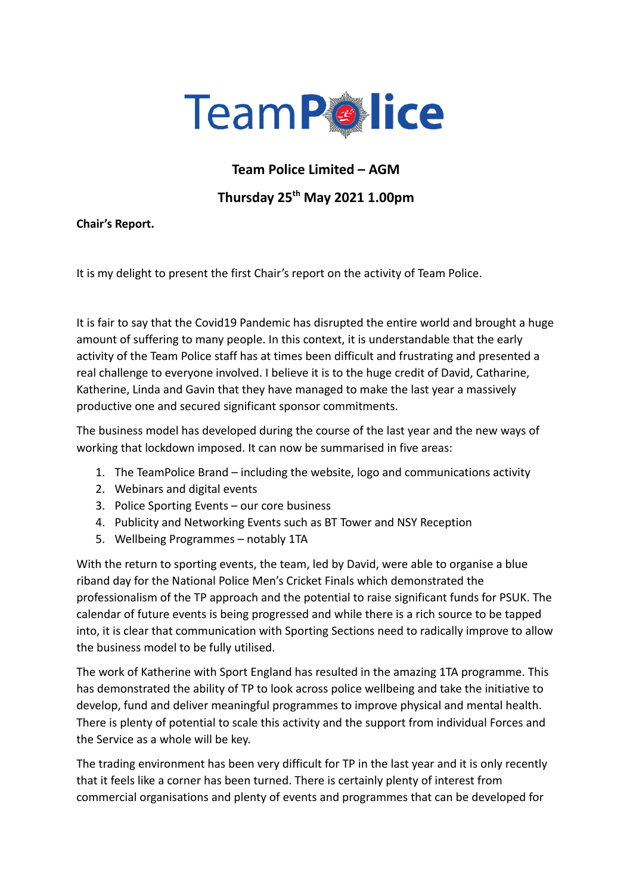

## **Team Police Limited – AGM**

## **Thursday 25 th May 2021 1.00pm**

## **Chair's Report.**

It is my delight to present the first Chair's report on the activity of Team Police.

It is fair to say that the Covid19 Pandemic has disrupted the entire world and brought a huge amount of suffering to many people. In this context, it is understandable that the early activity of the Team Police staff has at times been difficult and frustrating and presented a real challenge to everyone involved. I believe it is to the huge credit of David, Catharine, Katherine, Linda and Gavin that they have managed to make the last year a massively productive one and secured significant sponsor commitments.

The business model has developed during the course of the last year and the new ways of working that lockdown imposed. It can now be summarised in five areas:

- 1. The TeamPolice Brand including the website, logo and communications activity
- 2. Webinars and digital events
- 3. Police Sporting Events our core business
- 4. Publicity and Networking Events such as BT Tower and NSY Reception
- 5. Wellbeing Programmes notably 1TA

With the return to sporting events, the team, led by David, were able to organise a blue riband day for the National Police Men's Cricket Finals which demonstrated the professionalism of the TP approach and the potential to raise significant funds for PSUK. The calendar of future events is being progressed and while there is a rich source to be tapped into, it is clear that communication with Sporting Sections need to radically improve to allow the business model to be fully utilised.

The work of Katherine with Sport England has resulted in the amazing 1TA programme. This has demonstrated the ability of TP to look across police wellbeing and take the initiative to develop, fund and deliver meaningful programmes to improve physical and mental health. There is plenty of potential to scale this activity and the support from individual Forces and the Service as a whole will be key.

The trading environment has been very difficult for TP in the last year and it is only recently that it feels like a corner has been turned. There is certainly plenty of interest from commercial organisations and plenty of events and programmes that can be developed for